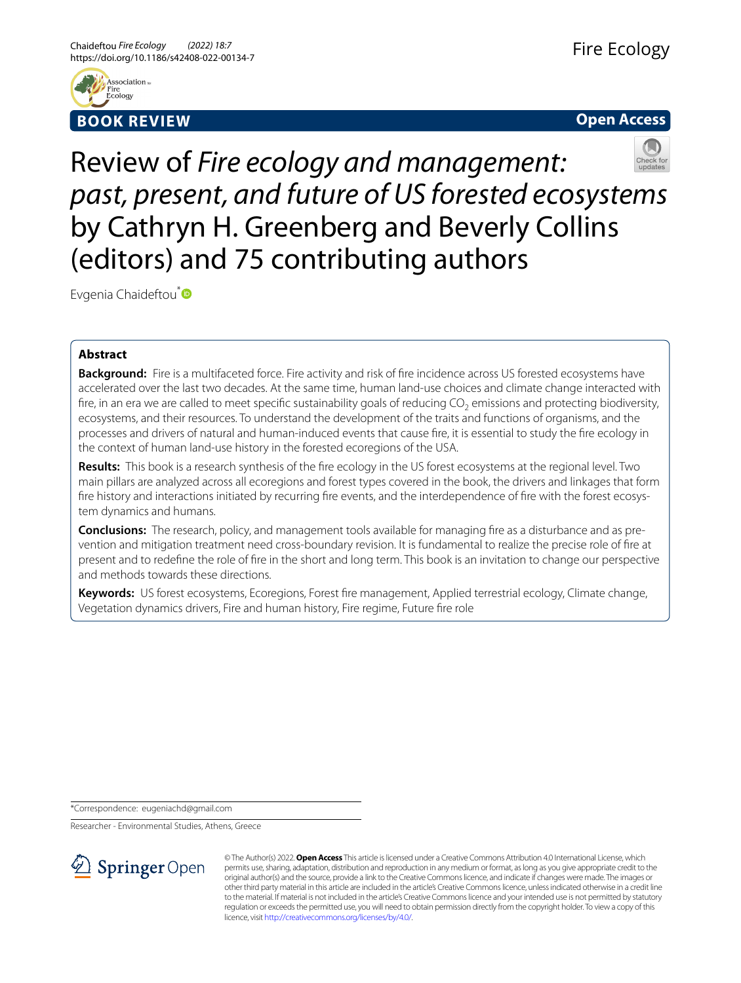



# Review of *Fire ecology and management: past, present, and future of US forested ecosystems* by Cathryn H. Greenberg and Beverly Collins (editors) and 75 contributing authors

Evgenia Chaideftou<sup>\*</sup>

## **Abstract**

**Background:** Fire is a multifaceted force. Fire activity and risk of fre incidence across US forested ecosystems have accelerated over the last two decades. At the same time, human land-use choices and climate change interacted with fire, in an era we are called to meet specific sustainability goals of reducing CO<sub>2</sub> emissions and protecting biodiversity, ecosystems, and their resources. To understand the development of the traits and functions of organisms, and the processes and drivers of natural and human-induced events that cause fre, it is essential to study the fre ecology in the context of human land-use history in the forested ecoregions of the USA.

**Results:** This book is a research synthesis of the fre ecology in the US forest ecosystems at the regional level. Two main pillars are analyzed across all ecoregions and forest types covered in the book, the drivers and linkages that form fre history and interactions initiated by recurring fre events, and the interdependence of fre with the forest ecosystem dynamics and humans.

**Conclusions:** The research, policy, and management tools available for managing fre as a disturbance and as prevention and mitigation treatment need cross-boundary revision. It is fundamental to realize the precise role of fre at present and to redefne the role of fre in the short and long term. This book is an invitation to change our perspective and methods towards these directions.

**Keywords:** US forest ecosystems, Ecoregions, Forest fre management, Applied terrestrial ecology, Climate change, Vegetation dynamics drivers, Fire and human history, Fire regime, Future fre role

\*Correspondence: eugeniachd@gmail.com

Researcher - Environmental Studies, Athens, Greece



© The Author(s) 2022. **Open Access** This article is licensed under a Creative Commons Attribution 4.0 International License, which permits use, sharing, adaptation, distribution and reproduction in any medium or format, as long as you give appropriate credit to the original author(s) and the source, provide a link to the Creative Commons licence, and indicate if changes were made. The images or other third party material in this article are included in the article's Creative Commons licence, unless indicated otherwise in a credit line to the material. If material is not included in the article's Creative Commons licence and your intended use is not permitted by statutory regulation or exceeds the permitted use, you will need to obtain permission directly from the copyright holder. To view a copy of this licence, visit [http://creativecommons.org/licenses/by/4.0/.](http://creativecommons.org/licenses/by/4.0/)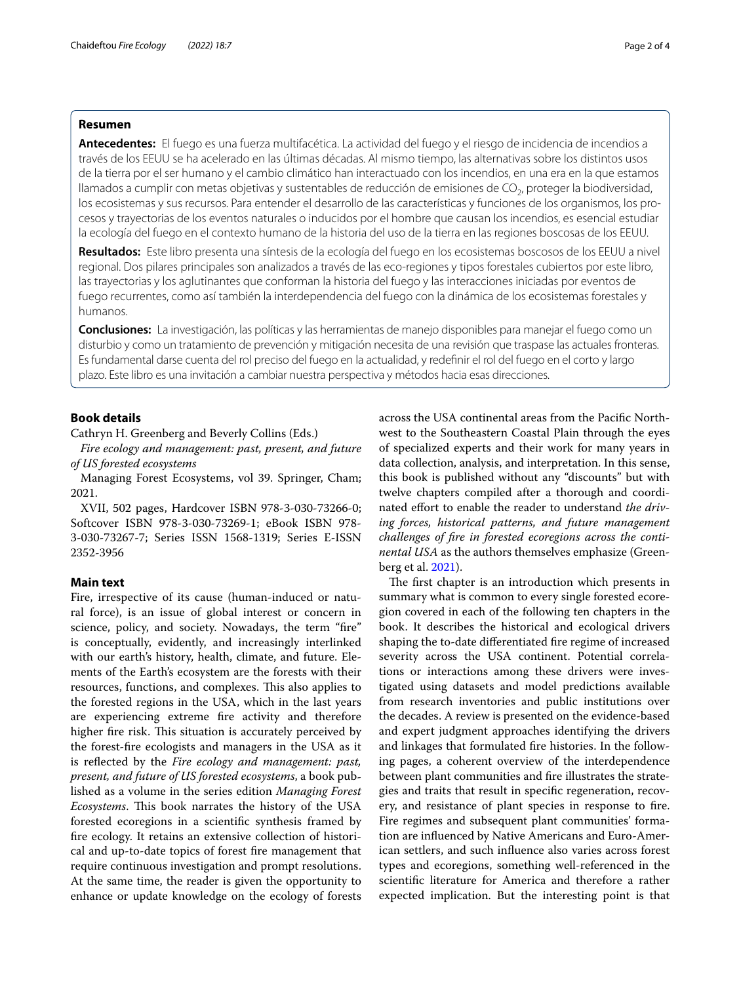## **Resumen**

**Antecedentes:** El fuego es una fuerza multifacética. La actividad del fuego y el riesgo de incidencia de incendios a través de los EEUU se ha acelerado en las últimas décadas. Al mismo tiempo, las alternativas sobre los distintos usos de la tierra por el ser humano y el cambio climático han interactuado con los incendios, en una era en la que estamos llamados a cumplir con metas objetivas y sustentables de reducción de emisiones de CO<sub>2</sub>, proteger la biodiversidad, los ecosistemas y sus recursos. Para entender el desarrollo de las características y funciones de los organismos, los procesos y trayectorias de los eventos naturales o inducidos por el hombre que causan los incendios, es esencial estudiar la ecología del fuego en el contexto humano de la historia del uso de la tierra en las regiones boscosas de los EEUU.

**Resultados:** Este libro presenta una síntesis de la ecología del fuego en los ecosistemas boscosos de los EEUU a nivel regional. Dos pilares principales son analizados a través de las eco-regiones y tipos forestales cubiertos por este libro, las trayectorias y los aglutinantes que conforman la historia del fuego y las interacciones iniciadas por eventos de fuego recurrentes, como así también la interdependencia del fuego con la dinámica de los ecosistemas forestales y humanos.

**Conclusiones:** La investigación, las políticas y las herramientas de manejo disponibles para manejar el fuego como un disturbio y como un tratamiento de prevención y mitigación necesita de una revisión que traspase las actuales fronteras. Es fundamental darse cuenta del rol preciso del fuego en la actualidad, y redefnir el rol del fuego en el corto y largo plazo. Este libro es una invitación a cambiar nuestra perspectiva y métodos hacia esas direcciones.

## **Book details**

## Cathryn H. Greenberg and Beverly Collins (Eds.)

*Fire ecology and management: past, present, and future of US forested ecosystems*

Managing Forest Ecosystems, vol 39. Springer, Cham; 2021.

XVII, 502 pages, Hardcover ISBN 978-3-030-73266-0; Softcover ISBN 978-3-030-73269-1; eBook ISBN 978- 3-030-73267-7; Series ISSN 1568-1319; Series E-ISSN 2352-3956

## **Main text**

Fire, irrespective of its cause (human-induced or natural force), is an issue of global interest or concern in science, policy, and society. Nowadays, the term "fre" is conceptually, evidently, and increasingly interlinked with our earth's history, health, climate, and future. Elements of the Earth's ecosystem are the forests with their resources, functions, and complexes. This also applies to the forested regions in the USA, which in the last years are experiencing extreme fre activity and therefore higher fire risk. This situation is accurately perceived by the forest-fre ecologists and managers in the USA as it is refected by the *Fire ecology and management: past, present, and future of US forested ecosystems*, a book published as a volume in the series edition *Managing Forest Ecosystems*. This book narrates the history of the USA forested ecoregions in a scientifc synthesis framed by fre ecology. It retains an extensive collection of historical and up-to-date topics of forest fre management that require continuous investigation and prompt resolutions. At the same time, the reader is given the opportunity to enhance or update knowledge on the ecology of forests

across the USA continental areas from the Pacifc Northwest to the Southeastern Coastal Plain through the eyes of specialized experts and their work for many years in data collection, analysis, and interpretation. In this sense, this book is published without any "discounts" but with twelve chapters compiled after a thorough and coordinated effort to enable the reader to understand *the driving forces, historical patterns, and future management challenges of fre in forested ecoregions across the continental USA* as the authors themselves emphasize (Greenberg et al. [2021](#page-3-0)).

The first chapter is an introduction which presents in summary what is common to every single forested ecoregion covered in each of the following ten chapters in the book. It describes the historical and ecological drivers shaping the to-date diferentiated fre regime of increased severity across the USA continent. Potential correlations or interactions among these drivers were investigated using datasets and model predictions available from research inventories and public institutions over the decades. A review is presented on the evidence-based and expert judgment approaches identifying the drivers and linkages that formulated fre histories. In the following pages, a coherent overview of the interdependence between plant communities and fre illustrates the strategies and traits that result in specifc regeneration, recovery, and resistance of plant species in response to fre. Fire regimes and subsequent plant communities' formation are infuenced by Native Americans and Euro-American settlers, and such infuence also varies across forest types and ecoregions, something well-referenced in the scientifc literature for America and therefore a rather expected implication. But the interesting point is that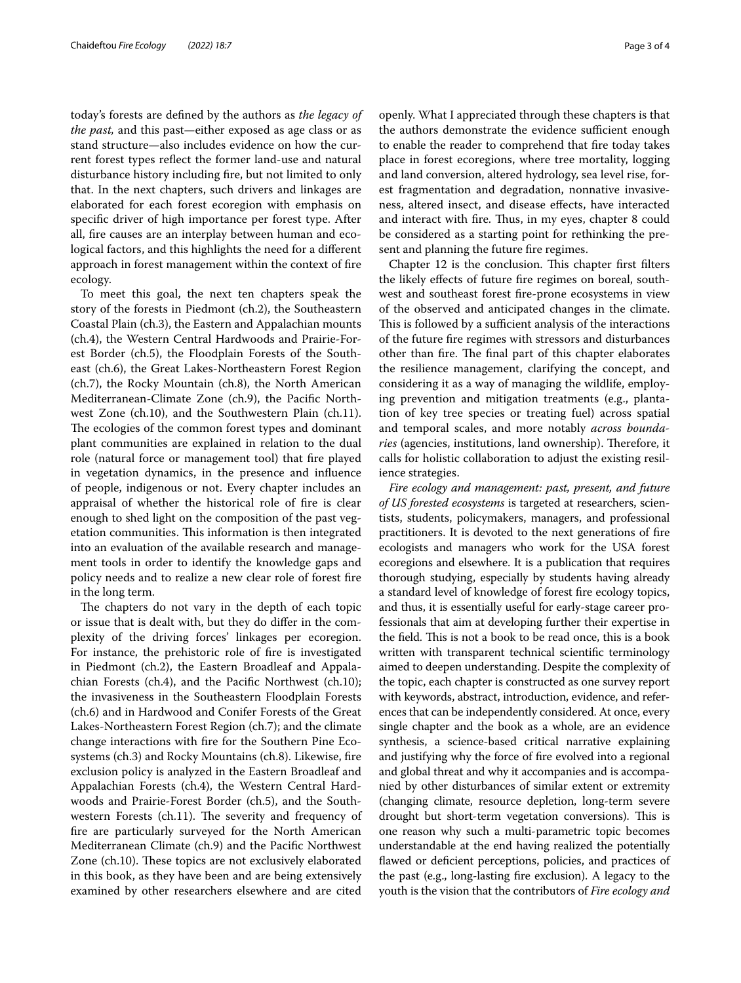today's forests are defned by the authors as *the legacy of the past,* and this past—either exposed as age class or as stand structure—also includes evidence on how the current forest types refect the former land-use and natural disturbance history including fre, but not limited to only that. In the next chapters, such drivers and linkages are elaborated for each forest ecoregion with emphasis on specifc driver of high importance per forest type. After all, fre causes are an interplay between human and ecological factors, and this highlights the need for a diferent approach in forest management within the context of fre ecology.

To meet this goal, the next ten chapters speak the story of the forests in Piedmont (ch.2), the Southeastern Coastal Plain (ch.3), the Eastern and Appalachian mounts (ch.4), the Western Central Hardwoods and Prairie-Forest Border (ch.5), the Floodplain Forests of the Southeast (ch.6), the Great Lakes-Northeastern Forest Region (ch.7), the Rocky Mountain (ch.8), the North American Mediterranean-Climate Zone (ch.9), the Pacifc Northwest Zone (ch.10), and the Southwestern Plain (ch.11). The ecologies of the common forest types and dominant plant communities are explained in relation to the dual role (natural force or management tool) that fre played in vegetation dynamics, in the presence and infuence of people, indigenous or not. Every chapter includes an appraisal of whether the historical role of fre is clear enough to shed light on the composition of the past vegetation communities. This information is then integrated into an evaluation of the available research and management tools in order to identify the knowledge gaps and policy needs and to realize a new clear role of forest fre in the long term.

The chapters do not vary in the depth of each topic or issue that is dealt with, but they do difer in the complexity of the driving forces' linkages per ecoregion. For instance, the prehistoric role of fre is investigated in Piedmont (ch.2), the Eastern Broadleaf and Appalachian Forests (ch.4), and the Pacifc Northwest (ch.10); the invasiveness in the Southeastern Floodplain Forests (ch.6) and in Hardwood and Conifer Forests of the Great Lakes-Northeastern Forest Region (ch.7); and the climate change interactions with fre for the Southern Pine Ecosystems (ch.3) and Rocky Mountains (ch.8). Likewise, fre exclusion policy is analyzed in the Eastern Broadleaf and Appalachian Forests (ch.4), the Western Central Hardwoods and Prairie-Forest Border (ch.5), and the Southwestern Forests (ch.11). The severity and frequency of fre are particularly surveyed for the North American Mediterranean Climate (ch.9) and the Pacifc Northwest Zone (ch.10). These topics are not exclusively elaborated in this book, as they have been and are being extensively examined by other researchers elsewhere and are cited openly. What I appreciated through these chapters is that the authors demonstrate the evidence sufficient enough to enable the reader to comprehend that fre today takes place in forest ecoregions, where tree mortality, logging and land conversion, altered hydrology, sea level rise, forest fragmentation and degradation, nonnative invasiveness, altered insect, and disease efects, have interacted and interact with fire. Thus, in my eyes, chapter 8 could be considered as a starting point for rethinking the present and planning the future fre regimes.

Chapter 12 is the conclusion. This chapter first filters the likely efects of future fre regimes on boreal, southwest and southeast forest fre-prone ecosystems in view of the observed and anticipated changes in the climate. This is followed by a sufficient analysis of the interactions of the future fre regimes with stressors and disturbances other than fire. The final part of this chapter elaborates the resilience management, clarifying the concept, and considering it as a way of managing the wildlife, employing prevention and mitigation treatments (e.g., plantation of key tree species or treating fuel) across spatial and temporal scales, and more notably *across boundaries* (agencies, institutions, land ownership). Therefore, it calls for holistic collaboration to adjust the existing resilience strategies.

*Fire ecology and management: past, present, and future of US forested ecosystems* is targeted at researchers, scientists, students, policymakers, managers, and professional practitioners. It is devoted to the next generations of fre ecologists and managers who work for the USA forest ecoregions and elsewhere. It is a publication that requires thorough studying, especially by students having already a standard level of knowledge of forest fre ecology topics, and thus, it is essentially useful for early-stage career professionals that aim at developing further their expertise in the field. This is not a book to be read once, this is a book written with transparent technical scientifc terminology aimed to deepen understanding. Despite the complexity of the topic, each chapter is constructed as one survey report with keywords, abstract, introduction, evidence, and references that can be independently considered. At once, every single chapter and the book as a whole, are an evidence synthesis, a science-based critical narrative explaining and justifying why the force of fre evolved into a regional and global threat and why it accompanies and is accompanied by other disturbances of similar extent or extremity (changing climate, resource depletion, long-term severe drought but short-term vegetation conversions). This is one reason why such a multi-parametric topic becomes understandable at the end having realized the potentially flawed or deficient perceptions, policies, and practices of the past (e.g., long-lasting fre exclusion). A legacy to the youth is the vision that the contributors of *Fire ecology and*